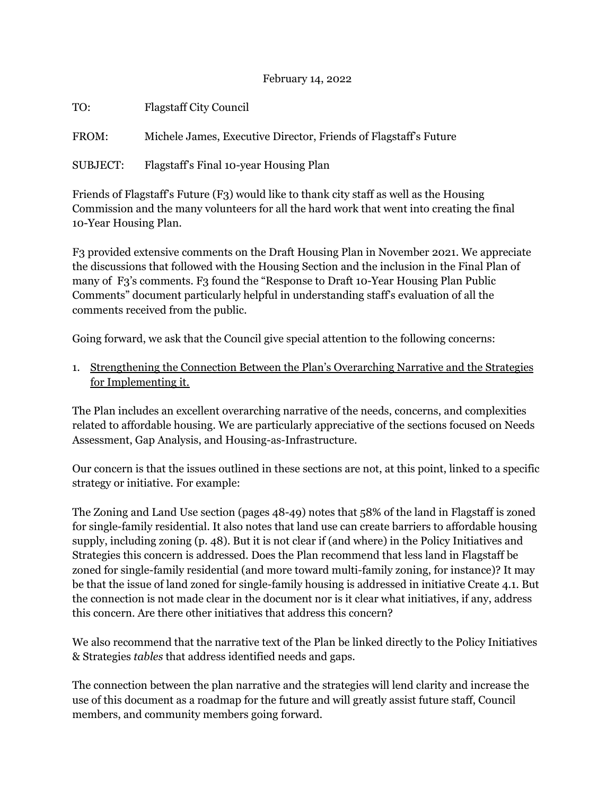## February 14, 2022

| TO:                                                                                      | <b>Flagstaff City Council</b>                                    |
|------------------------------------------------------------------------------------------|------------------------------------------------------------------|
| FROM:                                                                                    | Michele James, Executive Director, Friends of Flagstaff's Future |
| SUBJECT:                                                                                 | Flagstaff's Final 10-year Housing Plan                           |
| Friends of Flagstaff's Future (F3) would like to thank city staff as well as the Housing |                                                                  |

Commission and the many volunteers for all the hard work that went into creating the final 10-Year Housing Plan.

F3 provided extensive comments on the Draft Housing Plan in November 2021. We appreciate the discussions that followed with the Housing Section and the inclusion in the Final Plan of many of F3's comments. F3 found the "Response to Draft 10-Year Housing Plan Public Comments" document particularly helpful in understanding staff's evaluation of all the comments received from the public.

Going forward, we ask that the Council give special attention to the following concerns:

1. Strengthening the Connection Between the Plan's Overarching Narrative and the Strategies for Implementing it.

The Plan includes an excellent overarching narrative of the needs, concerns, and complexities related to affordable housing. We are particularly appreciative of the sections focused on Needs Assessment, Gap Analysis, and Housing-as-Infrastructure.

Our concern is that the issues outlined in these sections are not, at this point, linked to a specific strategy or initiative. For example:

The Zoning and Land Use section (pages 48-49) notes that 58% of the land in Flagstaff is zoned for single-family residential. It also notes that land use can create barriers to affordable housing supply, including zoning (p. 48). But it is not clear if (and where) in the Policy Initiatives and Strategies this concern is addressed. Does the Plan recommend that less land in Flagstaff be zoned for single-family residential (and more toward multi-family zoning, for instance)? It may be that the issue of land zoned for single-family housing is addressed in initiative Create 4.1. But the connection is not made clear in the document nor is it clear what initiatives, if any, address this concern. Are there other initiatives that address this concern?

We also recommend that the narrative text of the Plan be linked directly to the Policy Initiatives & Strategies *tables* that address identified needs and gaps.

The connection between the plan narrative and the strategies will lend clarity and increase the use of this document as a roadmap for the future and will greatly assist future staff, Council members, and community members going forward.